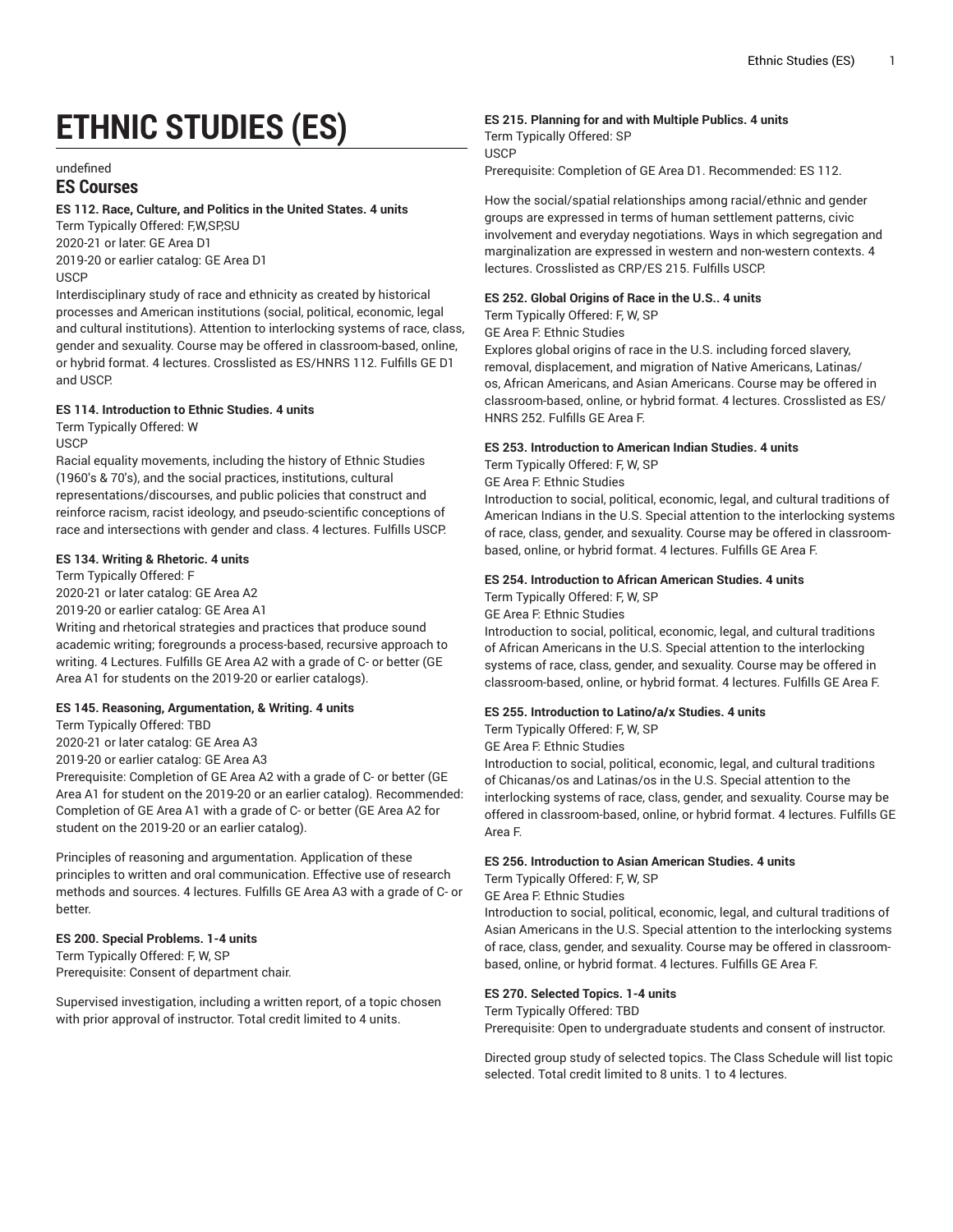# **ETHNIC STUDIES (ES)**

undefined

# **ES Courses**

# **ES 112. Race, Culture, and Politics in the United States. 4 units**

Term Typically Offered: F,W,SP,SU 2020-21 or later: GE Area D1 2019-20 or earlier catalog: GE Area D1 USCP

Interdisciplinary study of race and ethnicity as created by historical processes and American institutions (social, political, economic, legal and cultural institutions). Attention to interlocking systems of race, class, gender and sexuality. Course may be offered in classroom-based, online, or hybrid format. 4 lectures. Crosslisted as ES/HNRS 112. Fulfills GE D1 and USCP.

# **ES 114. Introduction to Ethnic Studies. 4 units**

Term Typically Offered: W **USCP** 

Racial equality movements, including the history of Ethnic Studies (1960's & 70's), and the social practices, institutions, cultural representations/discourses, and public policies that construct and reinforce racism, racist ideology, and pseudo-scientific conceptions of race and intersections with gender and class. 4 lectures. Fulfills USCP.

# **ES 134. Writing & Rhetoric. 4 units**

Term Typically Offered: F 2020-21 or later catalog: GE Area A2

2019-20 or earlier catalog: GE Area A1

Writing and rhetorical strategies and practices that produce sound academic writing; foregrounds a process-based, recursive approach to writing. 4 Lectures. Fulfills GE Area A2 with a grade of C- or better (GE Area A1 for students on the 2019-20 or earlier catalogs).

# **ES 145. Reasoning, Argumentation, & Writing. 4 units**

Term Typically Offered: TBD

2020-21 or later catalog: GE Area A3

2019-20 or earlier catalog: GE Area A3

Prerequisite: Completion of GE Area A2 with a grade of C- or better (GE Area A1 for student on the 2019-20 or an earlier catalog). Recommended: Completion of GE Area A1 with a grade of C- or better (GE Area A2 for student on the 2019-20 or an earlier catalog).

Principles of reasoning and argumentation. Application of these principles to written and oral communication. Effective use of research methods and sources. 4 lectures. Fulfills GE Area A3 with a grade of C- or better.

# **ES 200. Special Problems. 1-4 units**

Term Typically Offered: F, W, SP Prerequisite: Consent of department chair.

Supervised investigation, including a written report, of a topic chosen with prior approval of instructor. Total credit limited to 4 units.

# **ES 215. Planning for and with Multiple Publics. 4 units**

Term Typically Offered: SP USCP Prerequisite: Completion of GE Area D1. Recommended: ES 112.

How the social/spatial relationships among racial/ethnic and gender groups are expressed in terms of human settlement patterns, civic involvement and everyday negotiations. Ways in which segregation and marginalization are expressed in western and non-western contexts. 4 lectures. Crosslisted as CRP/ES 215. Fulfills USCP.

# **ES 252. Global Origins of Race in the U.S.. 4 units**

Term Typically Offered: F, W, SP

GE Area F: Ethnic Studies

Explores global origins of race in the U.S. including forced slavery, removal, displacement, and migration of Native Americans, Latinas/ os, African Americans, and Asian Americans. Course may be offered in classroom-based, online, or hybrid format. 4 lectures. Crosslisted as ES/ HNRS 252. Fulfills GE Area F.

# **ES 253. Introduction to American Indian Studies. 4 units**

Term Typically Offered: F, W, SP

GE Area F: Ethnic Studies

Introduction to social, political, economic, legal, and cultural traditions of American Indians in the U.S. Special attention to the interlocking systems of race, class, gender, and sexuality. Course may be offered in classroombased, online, or hybrid format. 4 lectures. Fulfills GE Area F.

# **ES 254. Introduction to African American Studies. 4 units**

Term Typically Offered: F, W, SP GE Area F: Ethnic Studies

Introduction to social, political, economic, legal, and cultural traditions of African Americans in the U.S. Special attention to the interlocking systems of race, class, gender, and sexuality. Course may be offered in classroom-based, online, or hybrid format. 4 lectures. Fulfills GE Area F.

# **ES 255. Introduction to Latino/a/x Studies. 4 units**

Term Typically Offered: F, W, SP

GE Area F: Ethnic Studies

Introduction to social, political, economic, legal, and cultural traditions of Chicanas/os and Latinas/os in the U.S. Special attention to the interlocking systems of race, class, gender, and sexuality. Course may be offered in classroom-based, online, or hybrid format. 4 lectures. Fulfills GE Area F.

# **ES 256. Introduction to Asian American Studies. 4 units**

Term Typically Offered: F, W, SP

GE Area F: Ethnic Studies

Introduction to social, political, economic, legal, and cultural traditions of Asian Americans in the U.S. Special attention to the interlocking systems of race, class, gender, and sexuality. Course may be offered in classroombased, online, or hybrid format. 4 lectures. Fulfills GE Area F.

# **ES 270. Selected Topics. 1-4 units**

Term Typically Offered: TBD

Prerequisite: Open to undergraduate students and consent of instructor.

Directed group study of selected topics. The Class Schedule will list topic selected. Total credit limited to 8 units. 1 to 4 lectures.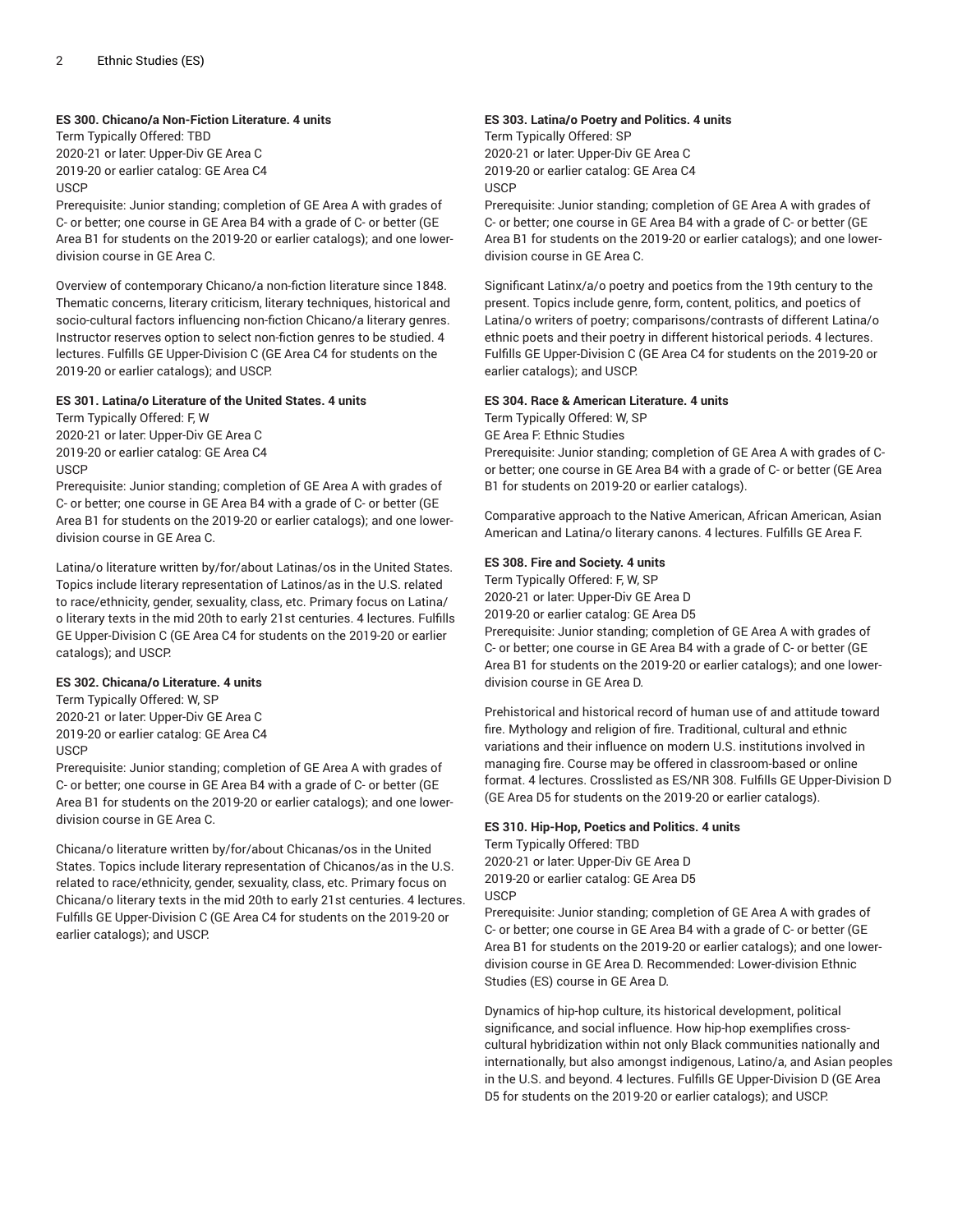# **ES 300. Chicano/a Non-Fiction Literature. 4 units**

Term Typically Offered: TBD 2020-21 or later: Upper-Div GE Area C 2019-20 or earlier catalog: GE Area C4 **USCP** 

Prerequisite: Junior standing; completion of GE Area A with grades of C- or better; one course in GE Area B4 with a grade of C- or better (GE Area B1 for students on the 2019-20 or earlier catalogs); and one lowerdivision course in GE Area C.

Overview of contemporary Chicano/a non-fiction literature since 1848. Thematic concerns, literary criticism, literary techniques, historical and socio-cultural factors influencing non-fiction Chicano/a literary genres. Instructor reserves option to select non-fiction genres to be studied. 4 lectures. Fulfills GE Upper-Division C (GE Area C4 for students on the 2019-20 or earlier catalogs); and USCP.

#### **ES 301. Latina/o Literature of the United States. 4 units**

Term Typically Offered: F, W 2020-21 or later: Upper-Div GE Area C 2019-20 or earlier catalog: GE Area C4 **USCP** 

Prerequisite: Junior standing; completion of GE Area A with grades of C- or better; one course in GE Area B4 with a grade of C- or better (GE Area B1 for students on the 2019-20 or earlier catalogs); and one lowerdivision course in GE Area C.

Latina/o literature written by/for/about Latinas/os in the United States. Topics include literary representation of Latinos/as in the U.S. related to race/ethnicity, gender, sexuality, class, etc. Primary focus on Latina/ o literary texts in the mid 20th to early 21st centuries. 4 lectures. Fulfills GE Upper-Division C (GE Area C4 for students on the 2019-20 or earlier catalogs); and USCP.

# **ES 302. Chicana/o Literature. 4 units**

Term Typically Offered: W, SP 2020-21 or later: Upper-Div GE Area C 2019-20 or earlier catalog: GE Area C4 USCP

Prerequisite: Junior standing; completion of GE Area A with grades of C- or better; one course in GE Area B4 with a grade of C- or better (GE Area B1 for students on the 2019-20 or earlier catalogs); and one lowerdivision course in GE Area C.

Chicana/o literature written by/for/about Chicanas/os in the United States. Topics include literary representation of Chicanos/as in the U.S. related to race/ethnicity, gender, sexuality, class, etc. Primary focus on Chicana/o literary texts in the mid 20th to early 21st centuries. 4 lectures. Fulfills GE Upper-Division C (GE Area C4 for students on the 2019-20 or earlier catalogs); and USCP.

# **ES 303. Latina/o Poetry and Politics. 4 units**

Term Typically Offered: SP 2020-21 or later: Upper-Div GE Area C 2019-20 or earlier catalog: GE Area C4 **USCP** 

Prerequisite: Junior standing; completion of GE Area A with grades of C- or better; one course in GE Area B4 with a grade of C- or better (GE Area B1 for students on the 2019-20 or earlier catalogs); and one lowerdivision course in GE Area C.

Significant Latinx/a/o poetry and poetics from the 19th century to the present. Topics include genre, form, content, politics, and poetics of Latina/o writers of poetry; comparisons/contrasts of different Latina/o ethnic poets and their poetry in different historical periods. 4 lectures. Fulfills GE Upper-Division C (GE Area C4 for students on the 2019-20 or earlier catalogs); and USCP.

#### **ES 304. Race & American Literature. 4 units**

Term Typically Offered: W, SP

GE Area F: Ethnic Studies

Prerequisite: Junior standing; completion of GE Area A with grades of Cor better; one course in GE Area B4 with a grade of C- or better (GE Area B1 for students on 2019-20 or earlier catalogs).

Comparative approach to the Native American, African American, Asian American and Latina/o literary canons. 4 lectures. Fulfills GE Area F.

# **ES 308. Fire and Society. 4 units**

Term Typically Offered: F, W, SP 2020-21 or later: Upper-Div GE Area D

2019-20 or earlier catalog: GE Area D5

Prerequisite: Junior standing; completion of GE Area A with grades of C- or better; one course in GE Area B4 with a grade of C- or better (GE Area B1 for students on the 2019-20 or earlier catalogs); and one lowerdivision course in GE Area D.

Prehistorical and historical record of human use of and attitude toward fire. Mythology and religion of fire. Traditional, cultural and ethnic variations and their influence on modern U.S. institutions involved in managing fire. Course may be offered in classroom-based or online format. 4 lectures. Crosslisted as ES/NR 308. Fulfills GE Upper-Division D (GE Area D5 for students on the 2019-20 or earlier catalogs).

#### **ES 310. Hip-Hop, Poetics and Politics. 4 units**

Term Typically Offered: TBD 2020-21 or later: Upper-Div GE Area D 2019-20 or earlier catalog: GE Area D5 USCP

Prerequisite: Junior standing; completion of GE Area A with grades of C- or better; one course in GE Area B4 with a grade of C- or better (GE Area B1 for students on the 2019-20 or earlier catalogs); and one lowerdivision course in GE Area D. Recommended: Lower-division Ethnic Studies (ES) course in GE Area D.

Dynamics of hip-hop culture, its historical development, political significance, and social influence. How hip-hop exemplifies crosscultural hybridization within not only Black communities nationally and internationally, but also amongst indigenous, Latino/a, and Asian peoples in the U.S. and beyond. 4 lectures. Fulfills GE Upper-Division D (GE Area D5 for students on the 2019-20 or earlier catalogs); and USCP.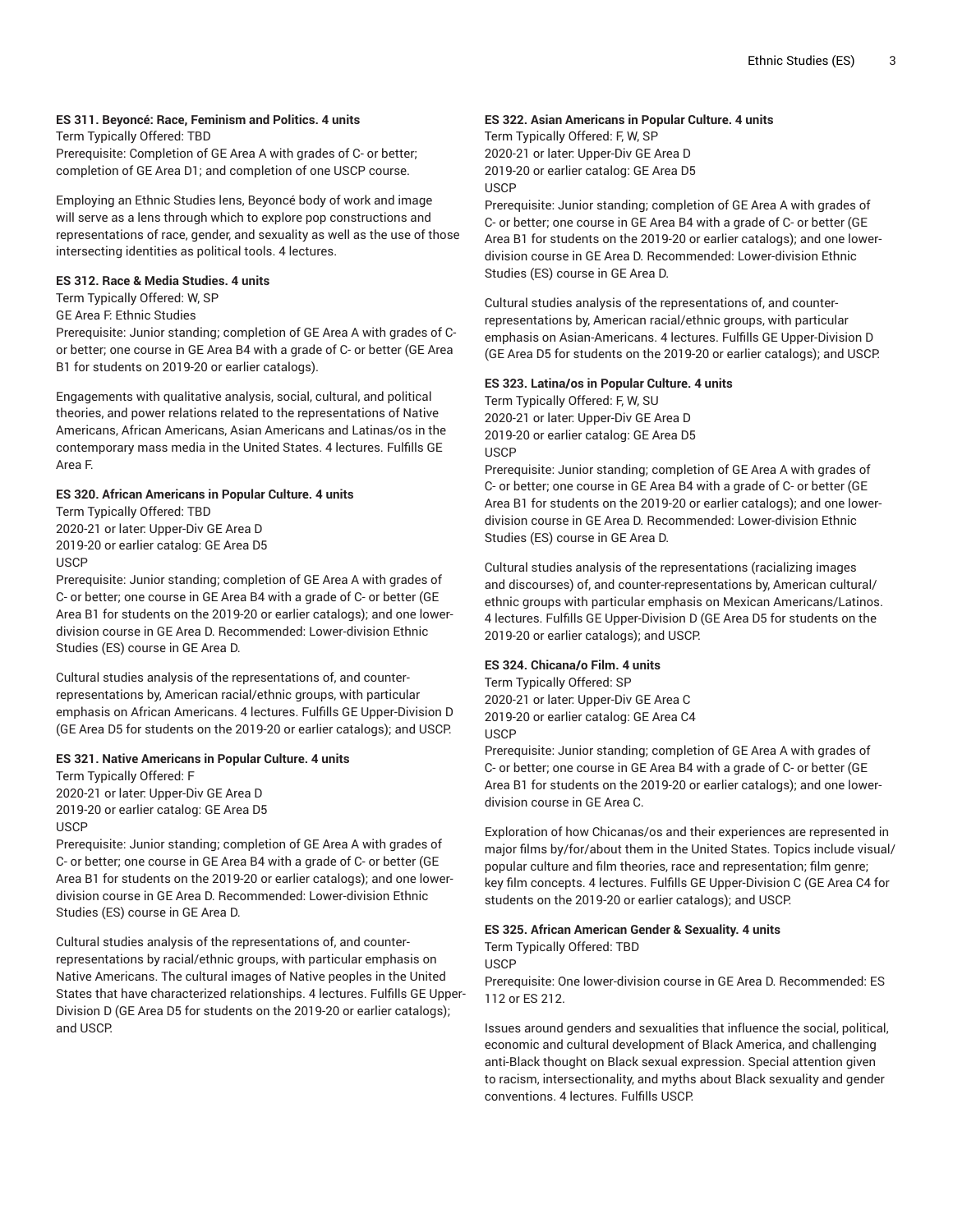# **ES 311. Beyoncé: Race, Feminism and Politics. 4 units**

Term Typically Offered: TBD

Prerequisite: Completion of GE Area A with grades of C- or better; completion of GE Area D1; and completion of one USCP course.

Employing an Ethnic Studies lens, Beyoncé body of work and image will serve as a lens through which to explore pop constructions and representations of race, gender, and sexuality as well as the use of those intersecting identities as political tools. 4 lectures.

#### **ES 312. Race & Media Studies. 4 units**

#### Term Typically Offered: W, SP

GE Area F: Ethnic Studies

Prerequisite: Junior standing; completion of GE Area A with grades of Cor better; one course in GE Area B4 with a grade of C- or better (GE Area B1 for students on 2019-20 or earlier catalogs).

Engagements with qualitative analysis, social, cultural, and political theories, and power relations related to the representations of Native Americans, African Americans, Asian Americans and Latinas/os in the contemporary mass media in the United States. 4 lectures. Fulfills GE Area F.

# **ES 320. African Americans in Popular Culture. 4 units**

Term Typically Offered: TBD 2020-21 or later: Upper-Div GE Area D 2019-20 or earlier catalog: GE Area D5 **USCP** 

Prerequisite: Junior standing; completion of GE Area A with grades of C- or better; one course in GE Area B4 with a grade of C- or better (GE Area B1 for students on the 2019-20 or earlier catalogs); and one lowerdivision course in GE Area D. Recommended: Lower-division Ethnic Studies (ES) course in GE Area D.

Cultural studies analysis of the representations of, and counterrepresentations by, American racial/ethnic groups, with particular emphasis on African Americans. 4 lectures. Fulfills GE Upper-Division D (GE Area D5 for students on the 2019-20 or earlier catalogs); and USCP.

# **ES 321. Native Americans in Popular Culture. 4 units**

Term Typically Offered: F 2020-21 or later: Upper-Div GE Area D 2019-20 or earlier catalog: GE Area D5 USCP

Prerequisite: Junior standing; completion of GE Area A with grades of C- or better; one course in GE Area B4 with a grade of C- or better (GE Area B1 for students on the 2019-20 or earlier catalogs); and one lowerdivision course in GE Area D. Recommended: Lower-division Ethnic Studies (ES) course in GE Area D.

Cultural studies analysis of the representations of, and counterrepresentations by racial/ethnic groups, with particular emphasis on Native Americans. The cultural images of Native peoples in the United States that have characterized relationships. 4 lectures. Fulfills GE Upper-Division D (GE Area D5 for students on the 2019-20 or earlier catalogs); and USCP.

#### **ES 322. Asian Americans in Popular Culture. 4 units**

Term Typically Offered: F, W, SP 2020-21 or later: Upper-Div GE Area D 2019-20 or earlier catalog: GE Area D5 **USCP** 

Prerequisite: Junior standing; completion of GE Area A with grades of C- or better; one course in GE Area B4 with a grade of C- or better (GE Area B1 for students on the 2019-20 or earlier catalogs); and one lowerdivision course in GE Area D. Recommended: Lower-division Ethnic Studies (ES) course in GE Area D.

Cultural studies analysis of the representations of, and counterrepresentations by, American racial/ethnic groups, with particular emphasis on Asian-Americans. 4 lectures. Fulfills GE Upper-Division D (GE Area D5 for students on the 2019-20 or earlier catalogs); and USCP.

#### **ES 323. Latina/os in Popular Culture. 4 units**

Term Typically Offered: F, W, SU 2020-21 or later: Upper-Div GE Area D 2019-20 or earlier catalog: GE Area D5 USCP

Prerequisite: Junior standing; completion of GE Area A with grades of C- or better; one course in GE Area B4 with a grade of C- or better (GE Area B1 for students on the 2019-20 or earlier catalogs); and one lowerdivision course in GE Area D. Recommended: Lower-division Ethnic Studies (ES) course in GE Area D.

Cultural studies analysis of the representations (racializing images and discourses) of, and counter-representations by, American cultural/ ethnic groups with particular emphasis on Mexican Americans/Latinos. 4 lectures. Fulfills GE Upper-Division D (GE Area D5 for students on the 2019-20 or earlier catalogs); and USCP.

# **ES 324. Chicana/o Film. 4 units**

Term Typically Offered: SP 2020-21 or later: Upper-Div GE Area C 2019-20 or earlier catalog: GE Area C4 **USCP** 

Prerequisite: Junior standing; completion of GE Area A with grades of C- or better; one course in GE Area B4 with a grade of C- or better (GE Area B1 for students on the 2019-20 or earlier catalogs); and one lowerdivision course in GE Area C.

Exploration of how Chicanas/os and their experiences are represented in major films by/for/about them in the United States. Topics include visual/ popular culture and film theories, race and representation; film genre; key film concepts. 4 lectures. Fulfills GE Upper-Division C (GE Area C4 for students on the 2019-20 or earlier catalogs); and USCP.

#### **ES 325. African American Gender & Sexuality. 4 units**

Term Typically Offered: TBD USCP

Prerequisite: One lower-division course in GE Area D. Recommended: ES 112 or ES 212.

Issues around genders and sexualities that influence the social, political, economic and cultural development of Black America, and challenging anti-Black thought on Black sexual expression. Special attention given to racism, intersectionality, and myths about Black sexuality and gender conventions. 4 lectures. Fulfills USCP.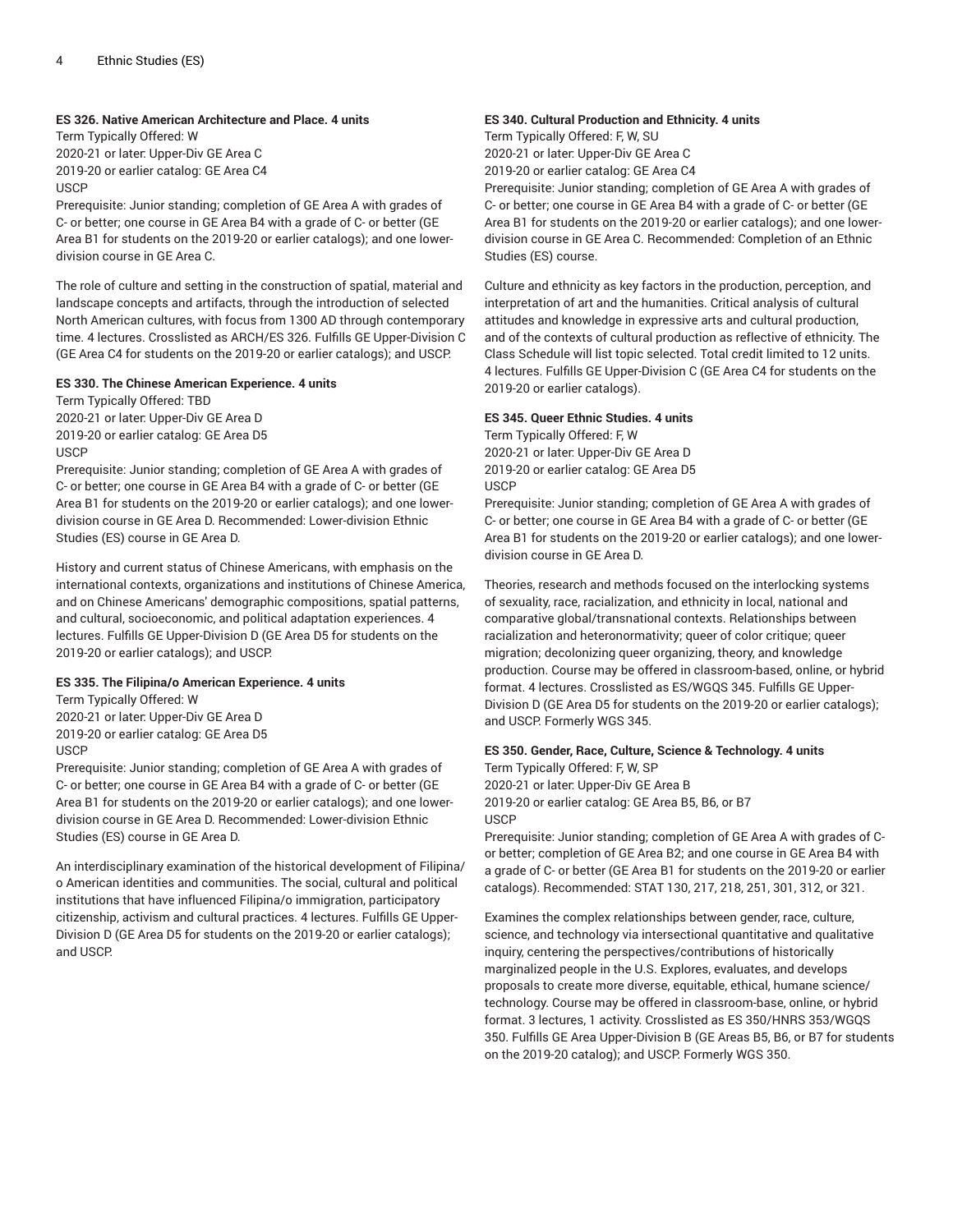#### **ES 326. Native American Architecture and Place. 4 units**

Term Typically Offered: W 2020-21 or later: Upper-Div GE Area C 2019-20 or earlier catalog: GE Area C4 **USCP** 

Prerequisite: Junior standing; completion of GE Area A with grades of C- or better; one course in GE Area B4 with a grade of C- or better (GE Area B1 for students on the 2019-20 or earlier catalogs); and one lowerdivision course in GE Area C.

The role of culture and setting in the construction of spatial, material and landscape concepts and artifacts, through the introduction of selected North American cultures, with focus from 1300 AD through contemporary time. 4 lectures. Crosslisted as ARCH/ES 326. Fulfills GE Upper-Division C (GE Area C4 for students on the 2019-20 or earlier catalogs); and USCP.

#### **ES 330. The Chinese American Experience. 4 units**

Term Typically Offered: TBD 2020-21 or later: Upper-Div GE Area D 2019-20 or earlier catalog: GE Area D5 USCP

Prerequisite: Junior standing; completion of GE Area A with grades of C- or better; one course in GE Area B4 with a grade of C- or better (GE Area B1 for students on the 2019-20 or earlier catalogs); and one lowerdivision course in GE Area D. Recommended: Lower-division Ethnic Studies (ES) course in GE Area D.

History and current status of Chinese Americans, with emphasis on the international contexts, organizations and institutions of Chinese America, and on Chinese Americans' demographic compositions, spatial patterns, and cultural, socioeconomic, and political adaptation experiences. 4 lectures. Fulfills GE Upper-Division D (GE Area D5 for students on the 2019-20 or earlier catalogs); and USCP.

# **ES 335. The Filipina/o American Experience. 4 units**

Term Typically Offered: W 2020-21 or later: Upper-Div GE Area D 2019-20 or earlier catalog: GE Area D5 USCP

Prerequisite: Junior standing; completion of GE Area A with grades of C- or better; one course in GE Area B4 with a grade of C- or better (GE Area B1 for students on the 2019-20 or earlier catalogs); and one lowerdivision course in GE Area D. Recommended: Lower-division Ethnic Studies (ES) course in GE Area D.

An interdisciplinary examination of the historical development of Filipina/ o American identities and communities. The social, cultural and political institutions that have influenced Filipina/o immigration, participatory citizenship, activism and cultural practices. 4 lectures. Fulfills GE Upper-Division D (GE Area D5 for students on the 2019-20 or earlier catalogs); and USCP.

#### **ES 340. Cultural Production and Ethnicity. 4 units**

Term Typically Offered: F, W, SU 2020-21 or later: Upper-Div GE Area C 2019-20 or earlier catalog: GE Area C4

Prerequisite: Junior standing; completion of GE Area A with grades of C- or better; one course in GE Area B4 with a grade of C- or better (GE Area B1 for students on the 2019-20 or earlier catalogs); and one lowerdivision course in GE Area C. Recommended: Completion of an Ethnic Studies (ES) course.

Culture and ethnicity as key factors in the production, perception, and interpretation of art and the humanities. Critical analysis of cultural attitudes and knowledge in expressive arts and cultural production, and of the contexts of cultural production as reflective of ethnicity. The Class Schedule will list topic selected. Total credit limited to 12 units. 4 lectures. Fulfills GE Upper-Division C (GE Area C4 for students on the 2019-20 or earlier catalogs).

#### **ES 345. Queer Ethnic Studies. 4 units**

Term Typically Offered: F, W 2020-21 or later: Upper-Div GE Area D 2019-20 or earlier catalog: GE Area D5 **USCP** 

Prerequisite: Junior standing; completion of GE Area A with grades of C- or better; one course in GE Area B4 with a grade of C- or better (GE Area B1 for students on the 2019-20 or earlier catalogs); and one lowerdivision course in GE Area D.

Theories, research and methods focused on the interlocking systems of sexuality, race, racialization, and ethnicity in local, national and comparative global/transnational contexts. Relationships between racialization and heteronormativity; queer of color critique; queer migration; decolonizing queer organizing, theory, and knowledge production. Course may be offered in classroom-based, online, or hybrid format. 4 lectures. Crosslisted as ES/WGQS 345. Fulfills GE Upper-Division D (GE Area D5 for students on the 2019-20 or earlier catalogs); and USCP. Formerly WGS 345.

# **ES 350. Gender, Race, Culture, Science & Technology. 4 units**

Term Typically Offered: F, W, SP 2020-21 or later: Upper-Div GE Area B 2019-20 or earlier catalog: GE Area B5, B6, or B7 **USCP** 

Prerequisite: Junior standing; completion of GE Area A with grades of Cor better; completion of GE Area B2; and one course in GE Area B4 with a grade of C- or better (GE Area B1 for students on the 2019-20 or earlier catalogs). Recommended: STAT 130, 217, 218, 251, 301, 312, or 321.

Examines the complex relationships between gender, race, culture, science, and technology via intersectional quantitative and qualitative inquiry, centering the perspectives/contributions of historically marginalized people in the U.S. Explores, evaluates, and develops proposals to create more diverse, equitable, ethical, humane science/ technology. Course may be offered in classroom-base, online, or hybrid format. 3 lectures, 1 activity. Crosslisted as ES 350/HNRS 353/WGQS 350. Fulfills GE Area Upper-Division B (GE Areas B5, B6, or B7 for students on the 2019-20 catalog); and USCP. Formerly WGS 350.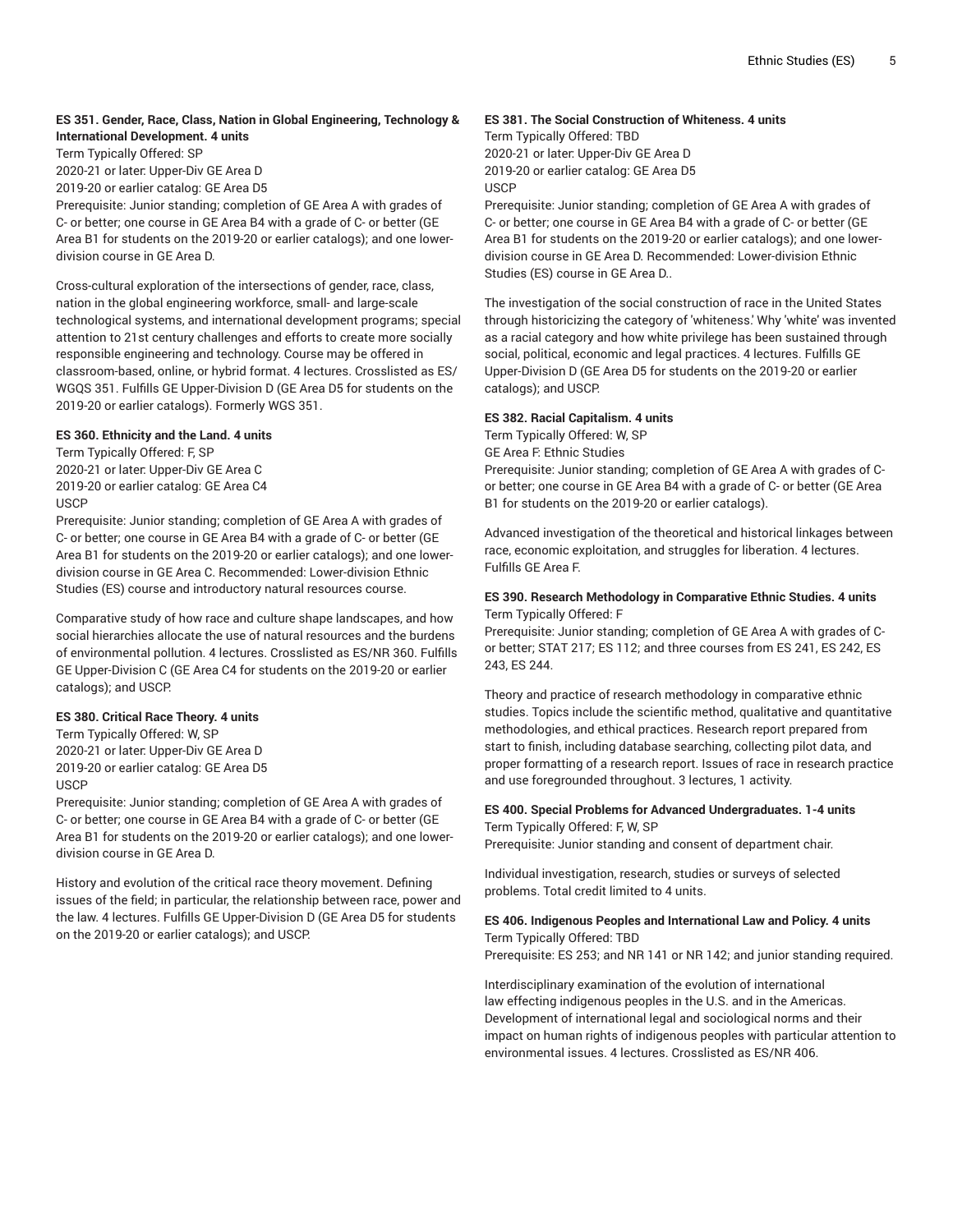# **ES 351. Gender, Race, Class, Nation in Global Engineering, Technology & International Development. 4 units**

Term Typically Offered: SP 2020-21 or later: Upper-Div GE Area D

2019-20 or earlier catalog: GE Area D5

Prerequisite: Junior standing; completion of GE Area A with grades of C- or better; one course in GE Area B4 with a grade of C- or better (GE Area B1 for students on the 2019-20 or earlier catalogs); and one lowerdivision course in GE Area D.

Cross-cultural exploration of the intersections of gender, race, class, nation in the global engineering workforce, small- and large-scale technological systems, and international development programs; special attention to 21st century challenges and efforts to create more socially responsible engineering and technology. Course may be offered in classroom-based, online, or hybrid format. 4 lectures. Crosslisted as ES/ WGQS 351. Fulfills GE Upper-Division D (GE Area D5 for students on the 2019-20 or earlier catalogs). Formerly WGS 351.

# **ES 360. Ethnicity and the Land. 4 units**

Term Typically Offered: F, SP 2020-21 or later: Upper-Div GE Area C 2019-20 or earlier catalog: GE Area C4 USCP

Prerequisite: Junior standing; completion of GE Area A with grades of C- or better; one course in GE Area B4 with a grade of C- or better (GE Area B1 for students on the 2019-20 or earlier catalogs); and one lowerdivision course in GE Area C. Recommended: Lower-division Ethnic Studies (ES) course and introductory natural resources course.

Comparative study of how race and culture shape landscapes, and how social hierarchies allocate the use of natural resources and the burdens of environmental pollution. 4 lectures. Crosslisted as ES/NR 360. Fulfills GE Upper-Division C (GE Area C4 for students on the 2019-20 or earlier catalogs); and USCP.

# **ES 380. Critical Race Theory. 4 units**

Term Typically Offered: W, SP 2020-21 or later: Upper-Div GE Area D 2019-20 or earlier catalog: GE Area D5 **USCP** 

Prerequisite: Junior standing; completion of GE Area A with grades of C- or better; one course in GE Area B4 with a grade of C- or better (GE Area B1 for students on the 2019-20 or earlier catalogs); and one lowerdivision course in GE Area D.

History and evolution of the critical race theory movement. Defining issues of the field; in particular, the relationship between race, power and the law. 4 lectures. Fulfills GE Upper-Division D (GE Area D5 for students on the 2019-20 or earlier catalogs); and USCP.

# **ES 381. The Social Construction of Whiteness. 4 units**

Term Typically Offered: TBD 2020-21 or later: Upper-Div GE Area D 2019-20 or earlier catalog: GE Area D5 **USCP** 

Prerequisite: Junior standing; completion of GE Area A with grades of C- or better; one course in GE Area B4 with a grade of C- or better (GE Area B1 for students on the 2019-20 or earlier catalogs); and one lowerdivision course in GE Area D. Recommended: Lower-division Ethnic Studies (ES) course in GE Area D..

The investigation of the social construction of race in the United States through historicizing the category of 'whiteness.' Why 'white' was invented as a racial category and how white privilege has been sustained through social, political, economic and legal practices. 4 lectures. Fulfills GE Upper-Division D (GE Area D5 for students on the 2019-20 or earlier catalogs); and USCP.

# **ES 382. Racial Capitalism. 4 units**

Term Typically Offered: W, SP GE Area F: Ethnic Studies Prerequisite: Junior standing; completion of GE Area A with grades of Cor better; one course in GE Area B4 with a grade of C- or better (GE Area B1 for students on the 2019-20 or earlier catalogs).

Advanced investigation of the theoretical and historical linkages between race, economic exploitation, and struggles for liberation. 4 lectures. Fulfills GE Area F.

# **ES 390. Research Methodology in Comparative Ethnic Studies. 4 units** Term Typically Offered: F

Prerequisite: Junior standing; completion of GE Area A with grades of Cor better; STAT 217; ES 112; and three courses from ES 241, ES 242, ES 243, ES 244.

Theory and practice of research methodology in comparative ethnic studies. Topics include the scientific method, qualitative and quantitative methodologies, and ethical practices. Research report prepared from start to finish, including database searching, collecting pilot data, and proper formatting of a research report. Issues of race in research practice and use foregrounded throughout. 3 lectures, 1 activity.

# **ES 400. Special Problems for Advanced Undergraduates. 1-4 units** Term Typically Offered: F, W, SP

Prerequisite: Junior standing and consent of department chair.

Individual investigation, research, studies or surveys of selected problems. Total credit limited to 4 units.

# **ES 406. Indigenous Peoples and International Law and Policy. 4 units** Term Typically Offered: TBD

Prerequisite: ES 253; and NR 141 or NR 142; and junior standing required.

Interdisciplinary examination of the evolution of international law effecting indigenous peoples in the U.S. and in the Americas. Development of international legal and sociological norms and their impact on human rights of indigenous peoples with particular attention to environmental issues. 4 lectures. Crosslisted as ES/NR 406.